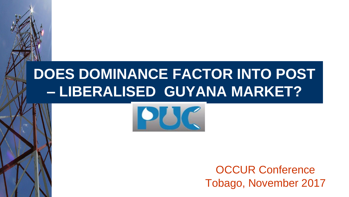## **DOES DOMINANCE FACTOR INTO POST – LIBERALISED GUYANA MARKET?**



OCCUR Conference Tobago, November 2017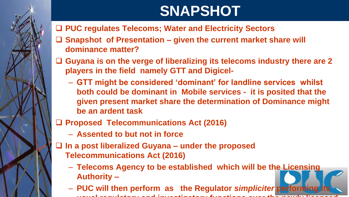## **SNAPSHOT**

- ❑ **PUC regulates Telecoms; Water and Electricity Sectors**
- ❑ **Snapshot of Presentation – given the current market share will dominance matter?**
- ❑ **Guyana is on the verge of liberalizing its telecoms industry there are 2 players in the field namely GTT and Digicel-**
	- **GTT might be considered 'dominant' for landline services whilst both could be dominant in Mobile services - it is posited that the given present market share the determination of Dominance might be an ardent task**
- ❑ **Proposed Telecommunications Act (2016)** 
	- **Assented to but not in force**
- ❑ **In a post liberalized Guyana – under the proposed Telecommunications Act (2016)**
	- **Telecoms Agency to be established which will be the Licensing Authority –**
	- **PUC will then perform as the Regulator** *simpliciter* **performing its usual regulatory and investigatory functions over the newly licensed**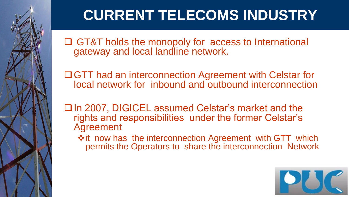

## **CURRENT TELECOMS INDUSTRY**

❑ GT&T holds the monopoly for access to International gateway and local landline network.

❑GTT had an interconnection Agreement with Celstar for local network for inbound and outbound interconnection

❑In 2007, DIGICEL assumed Celstar's market and the rights and responsibilities under the former Celstar's Agreement

❖it now has the interconnection Agreement with GTT which permits the Operators to share the interconnection Network

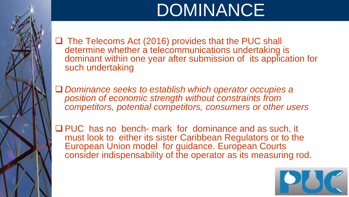# DOMINANCE

❑ The Telecoms Act (2016) provides that the PUC shall determine whether a telecommunications undertaking is dominant within one year after submission of its application for such undertaking

❑ *Dominance seeks to establish which operator occupies a position of economic strength without constraints from competitors, potential competitors, consumers or other users*

❑ PUC has no bench- mark for dominance and as such, it must look to either its sister Caribbean Regulators or to the European Union model for guidance. European Courts consider indispensability of the operator as its measuring rod.

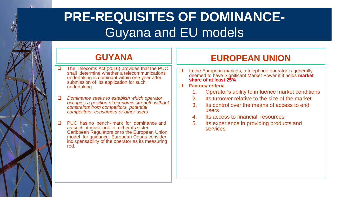#### **PRE-REQUISITES OF DOMINANCE-**Guyana and EU models

#### **GUYANA**

- ❑ The Telecoms Act (2016) provides that the PUC shall determine whether a telecommunications undertaking is dominant within one year after submission of its application for such undertaking
- ❑ *Dominance seeks to establish which operator occupies a position of economic strength without constraints from competitors, potential competitors, consumers or other users*
- ❑ PUC has no bench- mark for dominance and as such, it must look to either its sister Caribbean Regulators or to the European Union model for guidance. European Courts consider indispensability of the operator as its measuring rod.

#### **EUROPEAN UNION**

❑ In the European markets, a telephone operator is generally deemed to have Significant Market Power if it holds **market share of at least 25%**

#### ❑ **Factors/ criteria**

- 1. Operator's ability to influence market conditions
- 2. Its turnover relative to the size of the market
- 3. Its control over the means of access to end users
- 4. Its access to financial resources
- 5. Its experience in providing products and services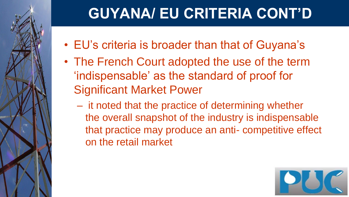

## **GUYANA/ EU CRITERIA CONT'D**

- EU's criteria is broader than that of Guyana's
- The French Court adopted the use of the term 'indispensable' as the standard of proof for Significant Market Power
	- it noted that the practice of determining whether the overall snapshot of the industry is indispensable that practice may produce an anti- competitive effect on the retail market

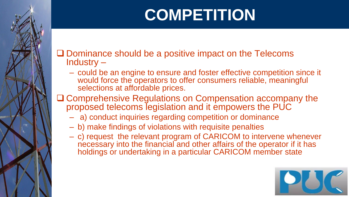## **COMPETITION**

#### ❑ Dominance should be a positive impact on the Telecoms Industry –

- could be an engine to ensure and foster effective competition since it would force the operators to offer consumers reliable, meaningful selections at affordable prices.
- ❑ Comprehensive Regulations on Compensation accompany the proposed telecoms legislation and it empowers the PUC
	- a) conduct inquiries regarding competition or dominance
	- b) make findings of violations with requisite penalties
	- c) request the relevant program of CARICOM to intervene whenever necessary into the financial and other affairs of the operator if it has holdings or undertaking in a particular CARICOM member state

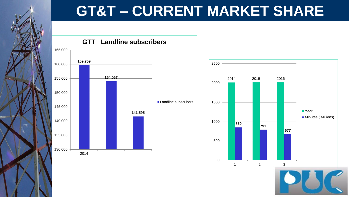

### **GT&T – CURRENT MARKET SHARE**





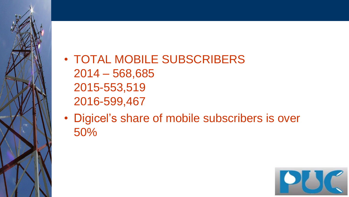

#### • TOTAL MOBILE SUBSCRIBERS 2014 – 568,685 2015-553,519 2016-599,467

• Digicel's share of mobile subscribers is over 50%

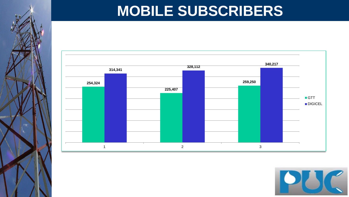### **MOBILE SUBSCRIBERS**



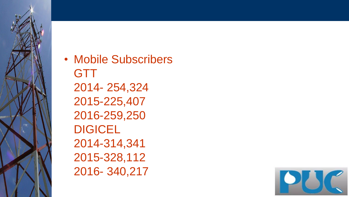

• Mobile Subscribers **GTT** 2014- 254,324 2015-225,407 2016-259,250 DIGICEL 2014-314,341 2015-328,112 2016- 340,217

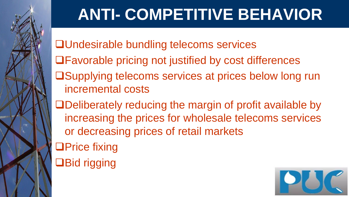

## **ANTI- COMPETITIVE BEHAVIOR**

❑Undesirable bundling telecoms services

- ❑Favorable pricing not justified by cost differences
- ❑Supplying telecoms services at prices below long run incremental costs

❑Deliberately reducing the margin of profit available by increasing the prices for wholesale telecoms services or decreasing prices of retail markets

❑Price fixing ❑Bid rigging

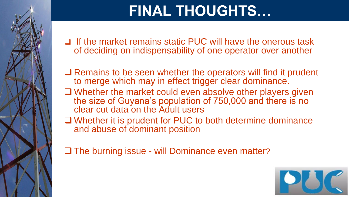

## **FINAL THOUGHTS…**

❑ If the market remains static PUC will have the onerous task of deciding on indispensability of one operator over another

- ❑ Remains to be seen whether the operators will find it prudent to merge which may in effect trigger clear dominance.
- ❑ Whether the market could even absolve other players given the size of Guyana's population of 750,000 and there is no clear cut data on the Adult users

❑ Whether it is prudent for PUC to both determine dominance and abuse of dominant position

❑ The burning issue - will Dominance even matter?